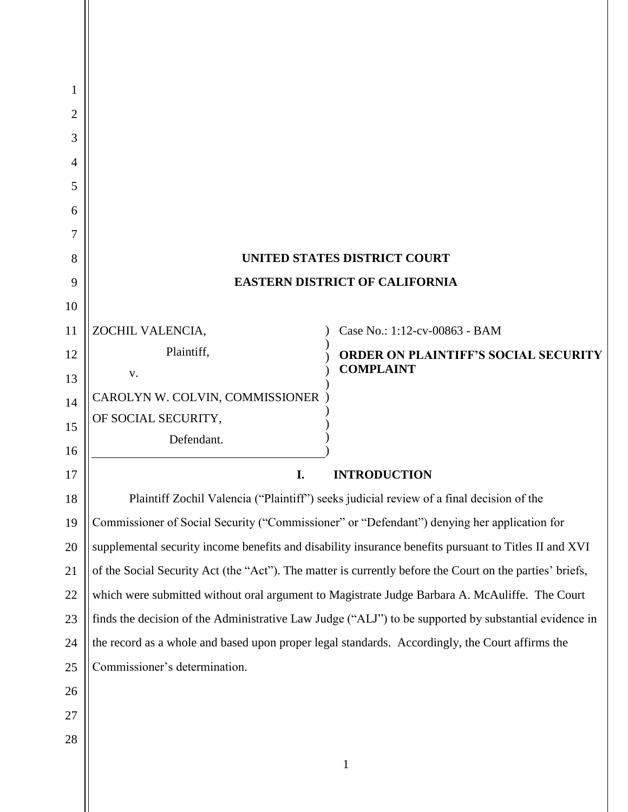| 1                   |                                                                                                          |                                             |
|---------------------|----------------------------------------------------------------------------------------------------------|---------------------------------------------|
| $\overline{2}$<br>3 |                                                                                                          |                                             |
| 4                   |                                                                                                          |                                             |
| 5                   |                                                                                                          |                                             |
| 6                   |                                                                                                          |                                             |
| 7                   |                                                                                                          |                                             |
| 8                   |                                                                                                          | <b>UNITED STATES DISTRICT COURT</b>         |
| 9                   | <b>EASTERN DISTRICT OF CALIFORNIA</b>                                                                    |                                             |
| 10                  |                                                                                                          |                                             |
| 11                  | ZOCHIL VALENCIA,                                                                                         | Case No.: 1:12-cv-00863 - BAM               |
| 12                  | Plaintiff,                                                                                               | <b>ORDER ON PLAINTIFF'S SOCIAL SECURITY</b> |
| 13                  | V.                                                                                                       | <b>COMPLAINT</b>                            |
| 14                  | CAROLYN W. COLVIN, COMMISSIONER                                                                          |                                             |
| 15                  | OF SOCIAL SECURITY,<br>Defendant.                                                                        |                                             |
| 16                  |                                                                                                          |                                             |
| 17                  | I.<br><b>INTRODUCTION</b>                                                                                |                                             |
| 18                  | Plaintiff Zochil Valencia ("Plaintiff") seeks judicial review of a final decision of the                 |                                             |
| 19                  | Commissioner of Social Security ("Commissioner" or "Defendant") denying her application for              |                                             |
| 20                  | supplemental security income benefits and disability insurance benefits pursuant to Titles II and XVI    |                                             |
| 21                  | of the Social Security Act (the "Act"). The matter is currently before the Court on the parties' briefs, |                                             |
| 22                  | which were submitted without oral argument to Magistrate Judge Barbara A. McAuliffe. The Court           |                                             |
| 23                  | finds the decision of the Administrative Law Judge ("ALJ") to be supported by substantial evidence in    |                                             |
| 24                  | the record as a whole and based upon proper legal standards. Accordingly, the Court affirms the          |                                             |
| 25                  | Commissioner's determination.                                                                            |                                             |
| 26                  |                                                                                                          |                                             |
| 27                  |                                                                                                          |                                             |
| 28                  |                                                                                                          |                                             |
|                     |                                                                                                          | $\mathbf{1}$                                |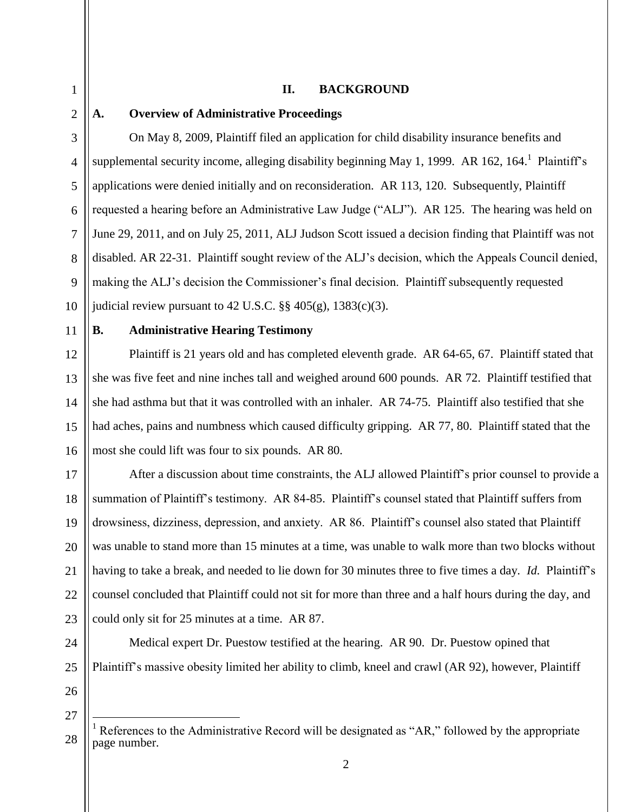## **II. BACKGROUND**

# 1 2 3 4 5 6 7 8 9

## **A. Overview of Administrative Proceedings**

On May 8, 2009, Plaintiff filed an application for child disability insurance benefits and supplemental security income, alleging disability beginning May 1, 1999. AR 162, 164.<sup>1</sup> Plaintiff's applications were denied initially and on reconsideration. AR 113, 120. Subsequently, Plaintiff requested a hearing before an Administrative Law Judge ("ALJ"). AR 125. The hearing was held on June 29, 2011, and on July 25, 2011, ALJ Judson Scott issued a decision finding that Plaintiff was not disabled. AR 22-31. Plaintiff sought review of the ALJ's decision, which the Appeals Council denied, making the ALJ's decision the Commissioner's final decision. Plaintiff subsequently requested judicial review pursuant to 42 U.S.C.  $\S$ § 405(g), 1383(c)(3).

11

10

# **B. Administrative Hearing Testimony**

12 13 14 15 16 Plaintiff is 21 years old and has completed eleventh grade. AR 64-65, 67. Plaintiff stated that she was five feet and nine inches tall and weighed around 600 pounds. AR 72. Plaintiff testified that she had asthma but that it was controlled with an inhaler. AR 74-75. Plaintiff also testified that she had aches, pains and numbness which caused difficulty gripping. AR 77, 80. Plaintiff stated that the most she could lift was four to six pounds. AR 80.

17 18 19 20 21 22 23 After a discussion about time constraints, the ALJ allowed Plaintiff's prior counsel to provide a summation of Plaintiff's testimony. AR 84-85. Plaintiff's counsel stated that Plaintiff suffers from drowsiness, dizziness, depression, and anxiety. AR 86. Plaintiff's counsel also stated that Plaintiff was unable to stand more than 15 minutes at a time, was unable to walk more than two blocks without having to take a break, and needed to lie down for 30 minutes three to five times a day. *Id.* Plaintiff's counsel concluded that Plaintiff could not sit for more than three and a half hours during the day, and could only sit for 25 minutes at a time. AR 87.

24 25 Medical expert Dr. Puestow testified at the hearing. AR 90. Dr. Puestow opined that Plaintiff's massive obesity limited her ability to climb, kneel and crawl (AR 92), however, Plaintiff

26 27

 $\overline{a}$ 

<sup>28</sup>  $1$  References to the Administrative Record will be designated as "AR," followed by the appropriate page number.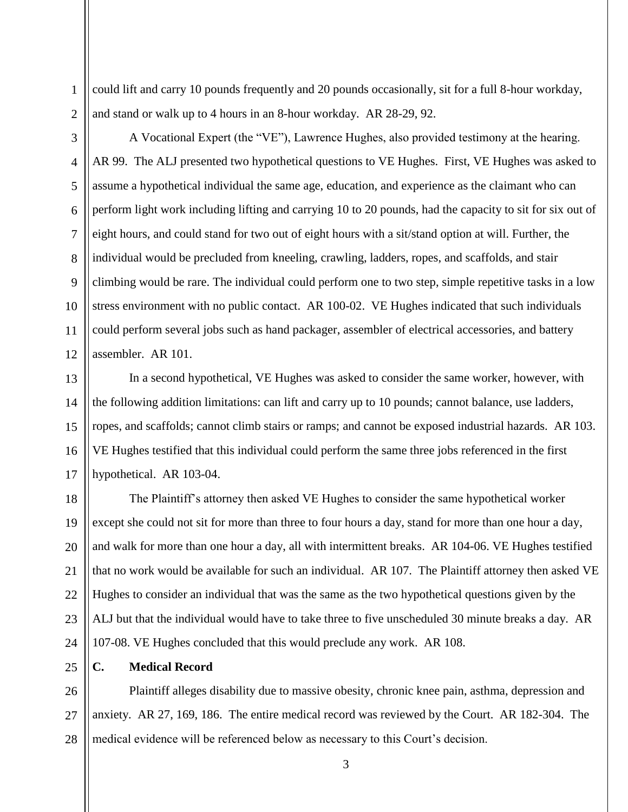could lift and carry 10 pounds frequently and 20 pounds occasionally, sit for a full 8-hour workday, and stand or walk up to 4 hours in an 8-hour workday. AR 28-29, 92.

1

2

3

4

A Vocational Expert (the "VE"), Lawrence Hughes, also provided testimony at the hearing. AR 99. The ALJ presented two hypothetical questions to VE Hughes. First, VE Hughes was asked to assume a hypothetical individual the same age, education, and experience as the claimant who can perform light work including lifting and carrying 10 to 20 pounds, had the capacity to sit for six out of eight hours, and could stand for two out of eight hours with a sit/stand option at will. Further, the individual would be precluded from kneeling, crawling, ladders, ropes, and scaffolds, and stair climbing would be rare. The individual could perform one to two step, simple repetitive tasks in a low stress environment with no public contact. AR 100-02. VE Hughes indicated that such individuals could perform several jobs such as hand packager, assembler of electrical accessories, and battery assembler. AR 101.

In a second hypothetical, VE Hughes was asked to consider the same worker, however, with the following addition limitations: can lift and carry up to 10 pounds; cannot balance, use ladders, ropes, and scaffolds; cannot climb stairs or ramps; and cannot be exposed industrial hazards. AR 103. VE Hughes testified that this individual could perform the same three jobs referenced in the first hypothetical. AR 103-04.

The Plaintiff's attorney then asked VE Hughes to consider the same hypothetical worker except she could not sit for more than three to four hours a day, stand for more than one hour a day, and walk for more than one hour a day, all with intermittent breaks. AR 104-06. VE Hughes testified that no work would be available for such an individual. AR 107. The Plaintiff attorney then asked VE Hughes to consider an individual that was the same as the two hypothetical questions given by the ALJ but that the individual would have to take three to five unscheduled 30 minute breaks a day. AR 107-08. VE Hughes concluded that this would preclude any work. AR 108.

**C. Medical Record**

28 Plaintiff alleges disability due to massive obesity, chronic knee pain, asthma, depression and anxiety. AR 27, 169, 186. The entire medical record was reviewed by the Court. AR 182-304. The medical evidence will be referenced below as necessary to this Court's decision.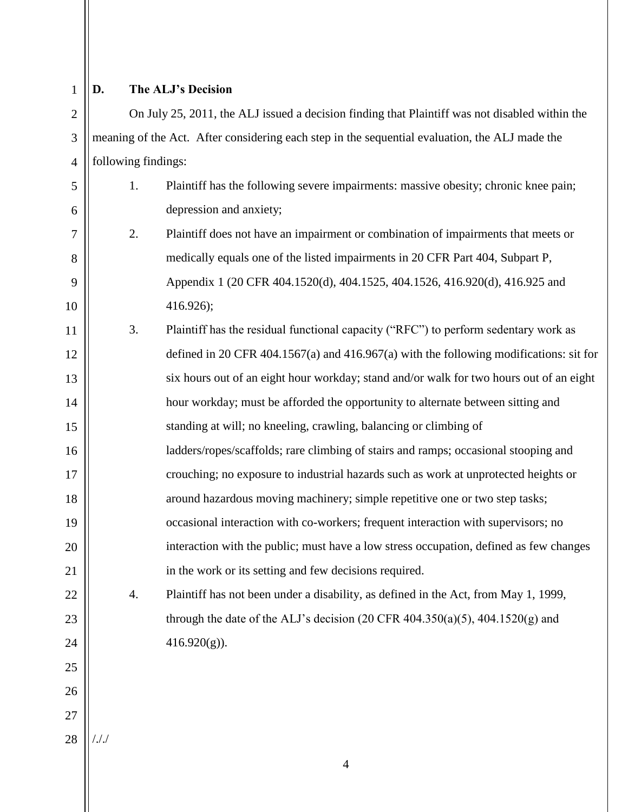# 1 2

3

4

5

6

# **D. The ALJ's Decision**

On July 25, 2011, the ALJ issued a decision finding that Plaintiff was not disabled within the meaning of the Act. After considering each step in the sequential evaluation, the ALJ made the following findings:

- 1. Plaintiff has the following severe impairments: massive obesity; chronic knee pain; depression and anxiety;
- 7 8 9 10 2. Plaintiff does not have an impairment or combination of impairments that meets or medically equals one of the listed impairments in 20 CFR Part 404, Subpart P, Appendix 1 (20 CFR 404.1520(d), 404.1525, 404.1526, 416.920(d), 416.925 and 416.926);
- 11 12 13 14 15 16 17 18 19 20 21 3. Plaintiff has the residual functional capacity ("RFC") to perform sedentary work as defined in 20 CFR 404.1567(a) and 416.967(a) with the following modifications: sit for six hours out of an eight hour workday; stand and/or walk for two hours out of an eight hour workday; must be afforded the opportunity to alternate between sitting and standing at will; no kneeling, crawling, balancing or climbing of ladders/ropes/scaffolds; rare climbing of stairs and ramps; occasional stooping and crouching; no exposure to industrial hazards such as work at unprotected heights or around hazardous moving machinery; simple repetitive one or two step tasks; occasional interaction with co-workers; frequent interaction with supervisors; no interaction with the public; must have a low stress occupation, defined as few changes in the work or its setting and few decisions required.
	- 4. Plaintiff has not been under a disability, as defined in the Act, from May 1, 1999, through the date of the ALJ's decision  $(20 \text{ CFR } 404.350(a)(5), 404.1520(g)$  and  $416.920(g)$ ).
- 28 /././

22

23

24

25

26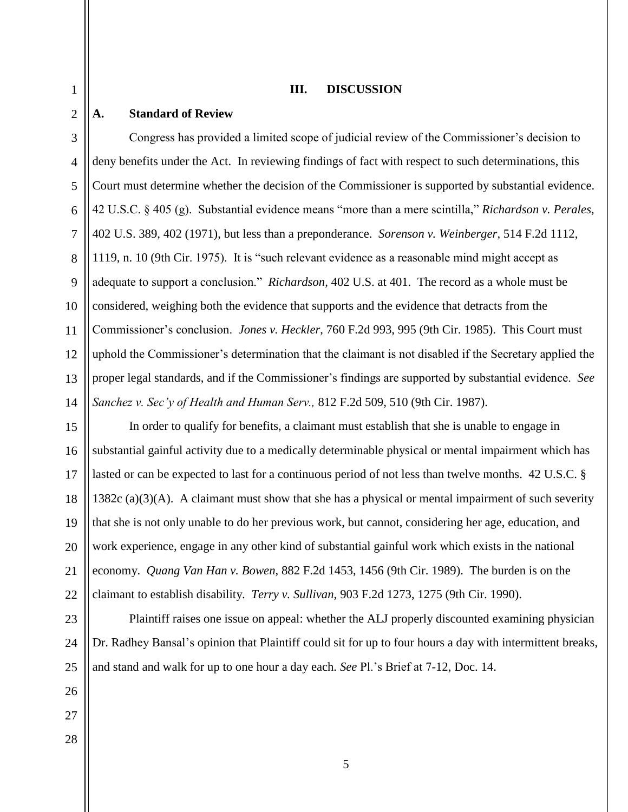#### **III. DISCUSSION**

#### **A. Standard of Review**

Congress has provided a limited scope of judicial review of the Commissioner's decision to deny benefits under the Act. In reviewing findings of fact with respect to such determinations, this Court must determine whether the decision of the Commissioner is supported by substantial evidence. 42 U.S.C. § 405 (g). Substantial evidence means "more than a mere scintilla," *Richardson v. Perales*, 402 U.S. 389, 402 (1971), but less than a preponderance. *Sorenson v. Weinberger*, 514 F.2d 1112, 1119, n. 10 (9th Cir. 1975). It is "such relevant evidence as a reasonable mind might accept as adequate to support a conclusion." *Richardson,* 402 U.S. at 401. The record as a whole must be considered, weighing both the evidence that supports and the evidence that detracts from the Commissioner's conclusion. *Jones v. Heckler*, 760 F.2d 993, 995 (9th Cir. 1985). This Court must uphold the Commissioner's determination that the claimant is not disabled if the Secretary applied the proper legal standards, and if the Commissioner's findings are supported by substantial evidence. *See Sanchez v. Sec'y of Health and Human Serv.,* 812 F.2d 509, 510 (9th Cir. 1987).

In order to qualify for benefits, a claimant must establish that she is unable to engage in substantial gainful activity due to a medically determinable physical or mental impairment which has lasted or can be expected to last for a continuous period of not less than twelve months. 42 U.S.C. § 1382c (a)(3)(A). A claimant must show that she has a physical or mental impairment of such severity that she is not only unable to do her previous work, but cannot, considering her age, education, and work experience, engage in any other kind of substantial gainful work which exists in the national economy. *Quang Van Han v. Bowen*, 882 F.2d 1453, 1456 (9th Cir. 1989). The burden is on the claimant to establish disability. *Terry v. Sullivan*, 903 F.2d 1273, 1275 (9th Cir. 1990).

Plaintiff raises one issue on appeal: whether the ALJ properly discounted examining physician Dr. Radhey Bansal's opinion that Plaintiff could sit for up to four hours a day with intermittent breaks, and stand and walk for up to one hour a day each. *See* Pl.'s Brief at 7-12, Doc. 14.

1

2

3

4

5

6

7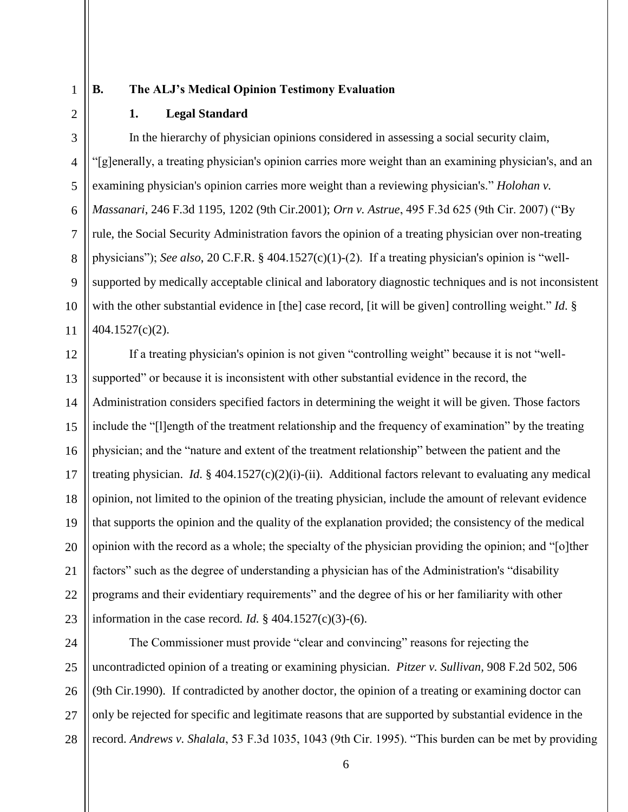# 1

2

3

4

5

6

7

8

9

10

11

## **B. The ALJ's Medical Opinion Testimony Evaluation**

#### **1. Legal Standard**

In the hierarchy of physician opinions considered in assessing a social security claim, "[g]enerally, a treating physician's opinion carries more weight than an examining physician's, and an examining physician's opinion carries more weight than a reviewing physician's." *Holohan v. Massanari*, 246 F.3d 1195, 1202 (9th Cir.2001); *Orn v. Astrue*, 495 F.3d 625 (9th Cir. 2007) ("By rule, the Social Security Administration favors the opinion of a treating physician over non-treating physicians"); *See also*, 20 C.F.R. § 404.1527(c)(1)-(2). If a treating physician's opinion is "wellsupported by medically acceptable clinical and laboratory diagnostic techniques and is not inconsistent with the other substantial evidence in [the] case record, [it will be given] controlling weight." *Id*. § 404.1527(c)(2).

12 13 14 15 16 17 18 19 20 21 22 23 If a treating physician's opinion is not given "controlling weight" because it is not "wellsupported" or because it is inconsistent with other substantial evidence in the record, the Administration considers specified factors in determining the weight it will be given. Those factors include the "[l]ength of the treatment relationship and the frequency of examination" by the treating physician; and the "nature and extent of the treatment relationship" between the patient and the treating physician. *Id*. § 404.1527(c)(2)(i)-(ii). Additional factors relevant to evaluating any medical opinion, not limited to the opinion of the treating physician, include the amount of relevant evidence that supports the opinion and the quality of the explanation provided; the consistency of the medical opinion with the record as a whole; the specialty of the physician providing the opinion; and "[o]ther factors" such as the degree of understanding a physician has of the Administration's "disability programs and their evidentiary requirements" and the degree of his or her familiarity with other information in the case record. *Id.*  $\S$  404.1527(c)(3)-(6).

24 25 26 27 28 The Commissioner must provide "clear and convincing" reasons for rejecting the uncontradicted opinion of a treating or examining physician. *Pitzer v. Sullivan,* 908 F.2d 502, 506 (9th Cir.1990). If contradicted by another doctor, the opinion of a treating or examining doctor can only be rejected for specific and legitimate reasons that are supported by substantial evidence in the record. *Andrews v. Shalala*, 53 F.3d 1035, 1043 (9th Cir. 1995). "This burden can be met by providing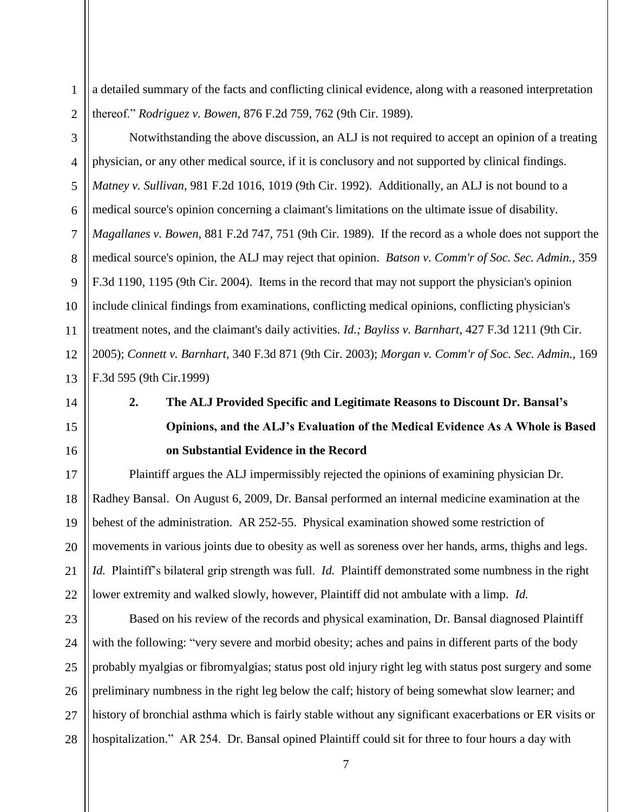a detailed summary of the facts and conflicting clinical evidence, along with a reasoned interpretation thereof." *Rodriguez v. Bowen,* 876 F.2d 759, 762 (9th Cir. 1989).

3 6 8 10 12 13 Notwithstanding the above discussion, an ALJ is not required to accept an opinion of a treating physician, or any other medical source, if it is conclusory and not supported by clinical findings. *Matney v. Sullivan*, 981 F.2d 1016, 1019 (9th Cir. 1992). Additionally, an ALJ is not bound to a medical source's opinion concerning a claimant's limitations on the ultimate issue of disability. *Magallanes v. Bowen,* 881 F.2d 747, 751 (9th Cir. 1989). If the record as a whole does not support the medical source's opinion, the ALJ may reject that opinion. *Batson v. Comm'r of Soc. Sec. Admin.,* 359 F.3d 1190, 1195 (9th Cir. 2004). Items in the record that may not support the physician's opinion include clinical findings from examinations, conflicting medical opinions, conflicting physician's treatment notes, and the claimant's daily activities*. Id.; Bayliss v. Barnhart*, 427 F.3d 1211 (9th Cir. 2005); *Connett v. Barnhart*, 340 F.3d 871 (9th Cir. 2003); *Morgan v. Comm'r of Soc. Sec. Admin.,* 169 F.3d 595 (9th Cir.1999)

14

15

16

1

2

4

5

7

9

11

**2. The ALJ Provided Specific and Legitimate Reasons to Discount Dr. Bansal's Opinions, and the ALJ's Evaluation of the Medical Evidence As A Whole is Based on Substantial Evidence in the Record**

17 18 19 20 21 22 Plaintiff argues the ALJ impermissibly rejected the opinions of examining physician Dr. Radhey Bansal. On August 6, 2009, Dr. Bansal performed an internal medicine examination at the behest of the administration. AR 252-55. Physical examination showed some restriction of movements in various joints due to obesity as well as soreness over her hands, arms, thighs and legs. *Id.* Plaintiff's bilateral grip strength was full. *Id.* Plaintiff demonstrated some numbness in the right lower extremity and walked slowly, however, Plaintiff did not ambulate with a limp. *Id.* 

23 24 25 26 27 28 Based on his review of the records and physical examination, Dr. Bansal diagnosed Plaintiff with the following: "very severe and morbid obesity; aches and pains in different parts of the body probably myalgias or fibromyalgias; status post old injury right leg with status post surgery and some preliminary numbness in the right leg below the calf; history of being somewhat slow learner; and history of bronchial asthma which is fairly stable without any significant exacerbations or ER visits or hospitalization." AR 254. Dr. Bansal opined Plaintiff could sit for three to four hours a day with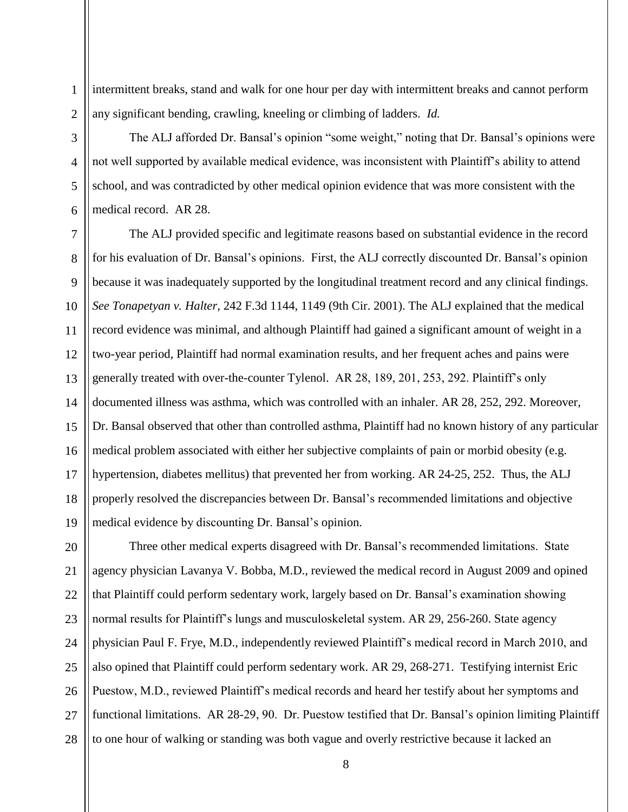intermittent breaks, stand and walk for one hour per day with intermittent breaks and cannot perform any significant bending, crawling, kneeling or climbing of ladders. *Id.* 

1

2

3

4

5

6

The ALJ afforded Dr. Bansal's opinion "some weight," noting that Dr. Bansal's opinions were not well supported by available medical evidence, was inconsistent with Plaintiff's ability to attend school, and was contradicted by other medical opinion evidence that was more consistent with the medical record. AR 28.

7 8 9 10 11 12 13 14 15 16 17 18 19 The ALJ provided specific and legitimate reasons based on substantial evidence in the record for his evaluation of Dr. Bansal's opinions. First, the ALJ correctly discounted Dr. Bansal's opinion because it was inadequately supported by the longitudinal treatment record and any clinical findings. *See Tonapetyan v. Halter,* 242 F.3d 1144, 1149 (9th Cir. 2001). The ALJ explained that the medical record evidence was minimal, and although Plaintiff had gained a significant amount of weight in a two-year period, Plaintiff had normal examination results, and her frequent aches and pains were generally treated with over-the-counter Tylenol. AR 28, 189, 201, 253, 292. Plaintiff's only documented illness was asthma, which was controlled with an inhaler. AR 28, 252, 292. Moreover, Dr. Bansal observed that other than controlled asthma, Plaintiff had no known history of any particular medical problem associated with either her subjective complaints of pain or morbid obesity (e.g. hypertension, diabetes mellitus) that prevented her from working. AR 24-25, 252. Thus, the ALJ properly resolved the discrepancies between Dr. Bansal's recommended limitations and objective medical evidence by discounting Dr. Bansal's opinion.

20 21 22 23 24 25 26 27 28 Three other medical experts disagreed with Dr. Bansal's recommended limitations. State agency physician Lavanya V. Bobba, M.D., reviewed the medical record in August 2009 and opined that Plaintiff could perform sedentary work, largely based on Dr. Bansal's examination showing normal results for Plaintiff's lungs and musculoskeletal system. AR 29, 256-260. State agency physician Paul F. Frye, M.D., independently reviewed Plaintiff's medical record in March 2010, and also opined that Plaintiff could perform sedentary work. AR 29, 268-271. Testifying internist Eric Puestow, M.D., reviewed Plaintiff's medical records and heard her testify about her symptoms and functional limitations. AR 28-29, 90. Dr. Puestow testified that Dr. Bansal's opinion limiting Plaintiff to one hour of walking or standing was both vague and overly restrictive because it lacked an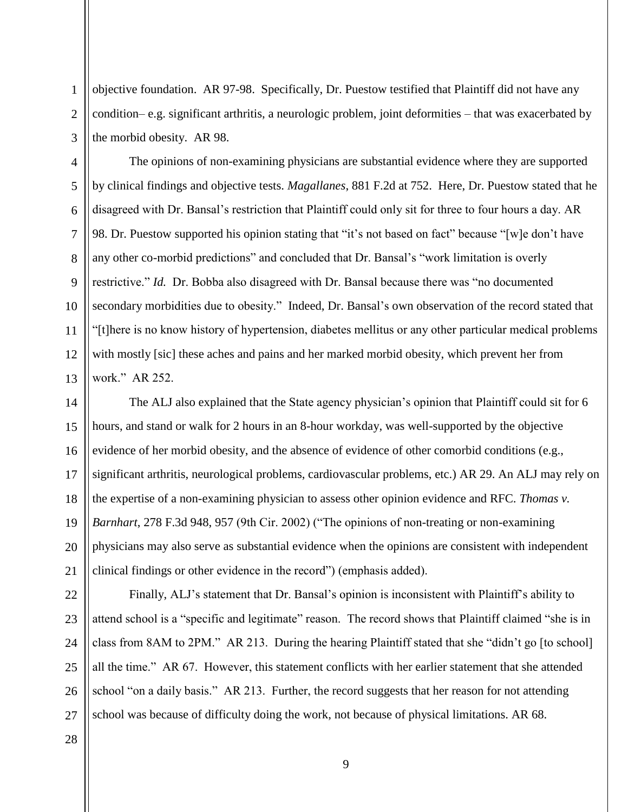1 2 3 objective foundation. AR 97-98. Specifically, Dr. Puestow testified that Plaintiff did not have any condition– e.g. significant arthritis, a neurologic problem, joint deformities – that was exacerbated by the morbid obesity. AR 98.

5 7 8 10 12 13 The opinions of non-examining physicians are substantial evidence where they are supported by clinical findings and objective tests. *Magallanes*, 881 F.2d at 752. Here, Dr. Puestow stated that he disagreed with Dr. Bansal's restriction that Plaintiff could only sit for three to four hours a day. AR 98. Dr. Puestow supported his opinion stating that "it's not based on fact" because "[w]e don't have any other co-morbid predictions" and concluded that Dr. Bansal's "work limitation is overly restrictive." *Id.* Dr. Bobba also disagreed with Dr. Bansal because there was "no documented secondary morbidities due to obesity." Indeed, Dr. Bansal's own observation of the record stated that "[t]here is no know history of hypertension, diabetes mellitus or any other particular medical problems with mostly [sic] these aches and pains and her marked morbid obesity, which prevent her from work." AR 252.

14 15 16 17 18 19 20 21 The ALJ also explained that the State agency physician's opinion that Plaintiff could sit for 6 hours, and stand or walk for 2 hours in an 8-hour workday, was well-supported by the objective evidence of her morbid obesity, and the absence of evidence of other comorbid conditions (e.g., significant arthritis, neurological problems, cardiovascular problems, etc.) AR 29. An ALJ may rely on the expertise of a non-examining physician to assess other opinion evidence and RFC. *Thomas v. Barnhart*, 278 F.3d 948, 957 (9th Cir. 2002) ("The opinions of non-treating or non-examining physicians may also serve as substantial evidence when the opinions are consistent with independent clinical findings or other evidence in the record") (emphasis added).

22 23 24 25 26 27 Finally, ALJ's statement that Dr. Bansal's opinion is inconsistent with Plaintiff's ability to attend school is a "specific and legitimate" reason. The record shows that Plaintiff claimed "she is in class from 8AM to 2PM." AR 213. During the hearing Plaintiff stated that she "didn't go [to school] all the time." AR 67. However, this statement conflicts with her earlier statement that she attended school "on a daily basis." AR 213. Further, the record suggests that her reason for not attending school was because of difficulty doing the work, not because of physical limitations. AR 68.

28

4

6

9

11